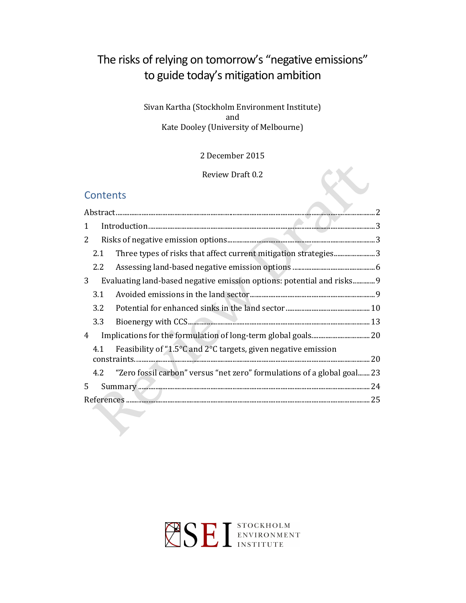# The risks of relying on tomorrow's "negative emissions" to guide today's mitigation ambition

### Sivan Kartha (Stockholm Environment Institute) and Kate Dooley (University of Melbourne)

## 2 December 2015

## Review Draft 0.2

X

## **Contents**

| 1 |                                                                                           |                                                                             |  |  |  |
|---|-------------------------------------------------------------------------------------------|-----------------------------------------------------------------------------|--|--|--|
| 2 |                                                                                           |                                                                             |  |  |  |
|   | 2.1                                                                                       | Three types of risks that affect current mitigation strategies3             |  |  |  |
|   | 2.2                                                                                       |                                                                             |  |  |  |
| 3 |                                                                                           | Evaluating land-based negative emission options: potential and risks9       |  |  |  |
|   | 3.1                                                                                       |                                                                             |  |  |  |
|   | 3.2                                                                                       |                                                                             |  |  |  |
|   | 3.3                                                                                       |                                                                             |  |  |  |
| 4 |                                                                                           |                                                                             |  |  |  |
|   | Feasibility of "1.5 $\degree$ C and 2 $\degree$ C targets, given negative emission<br>4.1 |                                                                             |  |  |  |
|   |                                                                                           | 4.2 "Zero fossil carbon" versus "net zero" formulations of a global goal 23 |  |  |  |
| 5 |                                                                                           |                                                                             |  |  |  |
|   |                                                                                           |                                                                             |  |  |  |
|   |                                                                                           |                                                                             |  |  |  |

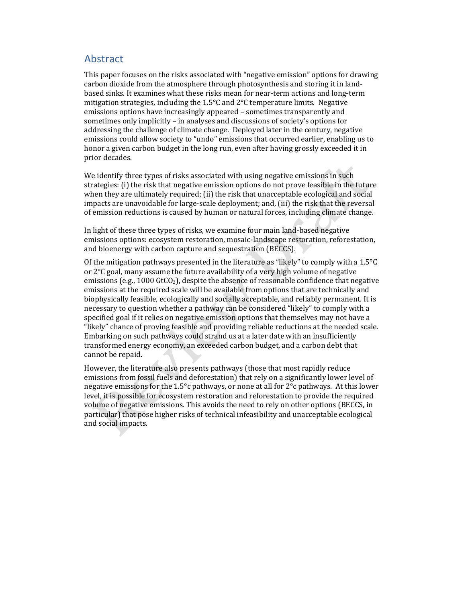## Abstract

This paper focuses on the risks associated with "negative emission" options for drawing carbon dioxide from the atmosphere through photosynthesis and storing it in landbased sinks. It examines what these risks mean for near-term actions and long-term mitigation strategies, including the 1.5°C and 2°C temperature limits. Negative emissions options have increasingly appeared – sometimes transparently and sometimes only implicitly – in analyses and discussions of society's options for addressing the challenge of climate change. Deployed later in the century, negative emissions could allow society to "undo" emissions that occurred earlier, enabling us to honor a given carbon budget in the long run, even after having grossly exceeded it in prior decades.

We identify three types of risks associated with using negative emissions in such strategies: (i) the risk that negative emission options do not prove feasible in the future when they are ultimately required; (ii) the risk that unacceptable ecological and social impacts are unavoidable for large-scale deployment; and, (iii) the risk that the reversal of emission reductions is caused by human or natural forces, including climate change.

In light of these three types of risks, we examine four main land-based negative emissions options: ecosystem restoration, mosaic-landscape restoration, reforestation, and bioenergy with carbon capture and sequestration (BECCS).

Of the mitigation pathways presented in the literature as "likely" to comply with a  $1.5^{\circ}C$ or 2°C goal, many assume the future availability of a very high volume of negative emissions (e.g., 1000 GtCO<sub>2</sub>), despite the absence of reasonable confidence that negative emissions at the required scale will be available from options that are technically and biophysically feasible, ecologically and socially acceptable, and reliably permanent. It is necessary to question whether a pathway can be considered "likely" to comply with a specified goal if it relies on negative emission options that themselves may not have a "likely" chance of proving feasible and providing reliable reductions at the needed scale. Embarking on such pathways could strand us at a later date with an insufficiently transformed energy economy, an exceeded carbon budget, and a carbon debt that cannot be repaid.

However, the literature also presents pathways (those that most rapidly reduce emissions from fossil fuels and deforestation) that rely on a significantly lower level of negative emissions for the 1.5°c pathways, or none at all for 2°c pathways. At this lower level, it is possible for ecosystem restoration and reforestation to provide the required volume of negative emissions. This avoids the need to rely on other options (BECCS, in particular) that pose higher risks of technical infeasibility and unacceptable ecological and social impacts.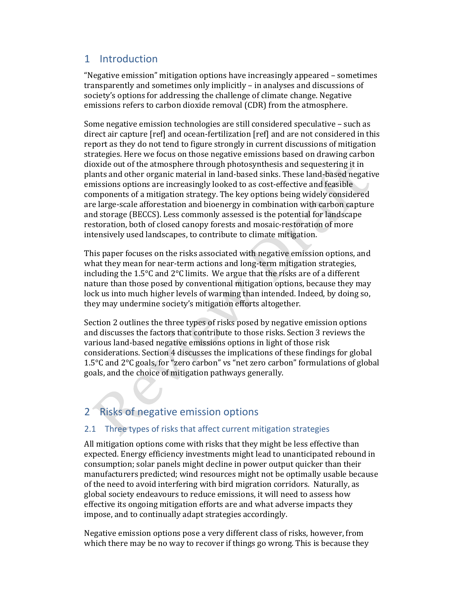## 1 Introduction

"Negative emission" mitigation options have increasingly appeared – sometimes transparently and sometimes only implicitly – in analyses and discussions of society's options for addressing the challenge of climate change. Negative emissions refers to carbon dioxide removal (CDR) from the atmosphere.

Some negative emission technologies are still considered speculative – such as direct air capture [ref] and ocean-fertilization [ref] and are not considered in this report as they do not tend to figure strongly in current discussions of mitigation strategies. Here we focus on those negative emissions based on drawing carbon dioxide out of the atmosphere through photosynthesis and sequestering it in plants and other organic material in land-based sinks. These land-based negative emissions options are increasingly looked to as cost-effective and feasible components of a mitigation strategy. The key options being widely considered are large-scale afforestation and bioenergy in combination with carbon capture and storage (BECCS). Less commonly assessed is the potential for landscape restoration, both of closed canopy forests and mosaic-restoration of more intensively used landscapes, to contribute to climate mitigation.

This paper focuses on the risks associated with negative emission options, and what they mean for near-term actions and long-term mitigation strategies, including the 1.5°C and 2°C limits. We argue that the risks are of a different nature than those posed by conventional mitigation options, because they may lock us into much higher levels of warming than intended. Indeed, by doing so, they may undermine society's mitigation efforts altogether.

Section 2 outlines the three types of risks posed by negative emission options and discusses the factors that contribute to those risks. Section 3 reviews the various land-based negative emissions options in light of those risk considerations. Section 4 discusses the implications of these findings for global 1.5°C and 2°C goals, for "zero carbon" vs "net zero carbon" formulations of global goals, and the choice of mitigation pathways generally.

## 2 Risks of negative emission options

## 2.1 Three types of risks that affect current mitigation strategies

All mitigation options come with risks that they might be less effective than expected. Energy efficiency investments might lead to unanticipated rebound in consumption; solar panels might decline in power output quicker than their manufacturers predicted; wind resources might not be optimally usable because of the need to avoid interfering with bird migration corridors. Naturally, as global society endeavours to reduce emissions, it will need to assess how effective its ongoing mitigation efforts are and what adverse impacts they impose, and to continually adapt strategies accordingly.

Negative emission options pose a very different class of risks, however, from which there may be no way to recover if things go wrong. This is because they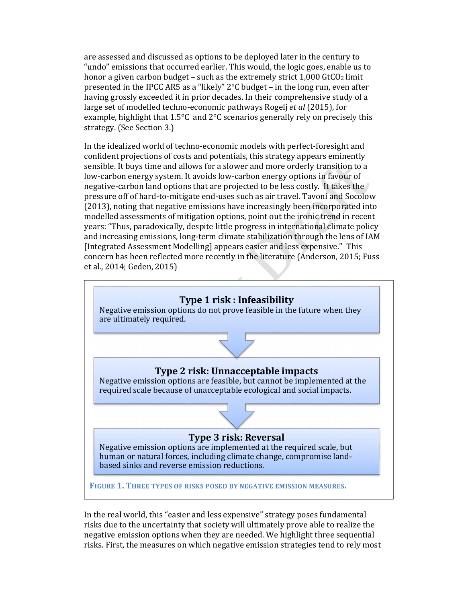are assessed and discussed as options to be deployed later in the century to "undo" emissions that occurred earlier. This would, the logic goes, enable us to honor a given carbon budget – such as the extremely strict  $1,000$  GtCO<sub>2</sub> limit presented in the IPCC AR5 as a "likely" 2°C budget – in the long run, even after having grossly exceeded it in prior decades. In their comprehensive study of a large set of modelled techno-economic pathways Rogelj *et al* (2015), for example, highlight that 1.5°C and 2°C scenarios generally rely on precisely this strategy. (See Section 3.)

In the idealized world of techno-economic models with perfect-foresight and confident projections of costs and potentials, this strategy appears eminently sensible. It buys time and allows for a slower and more orderly transition to a low-carbon energy system. It avoids low-carbon energy options in favour of negative-carbon land options that are projected to be less costly. It takes the pressure off of hard-to-mitigate end-uses such as air travel. Tavoni and Socolow (2013), noting that negative emissions have increasingly been incorporated into modelled assessments of mitigation options, point out the ironic trend in recent years: "Thus, paradoxically, despite little progress in international climate policy and increasing emissions, long-term climate stabilization through the lens of IAM [Integrated Assessment Modelling] appears easier and less expensive." This concern has been reflected more recently in the literature (Anderson, 2015; Fuss et al., 2014; Geden, 2015)



In the real world, this "easier and less expensive" strategy poses fundamental risks due to the uncertainty that society will ultimately prove able to realize the negative emission options when they are needed. We highlight three sequential risks. First, the measures on which negative emission strategies tend to rely most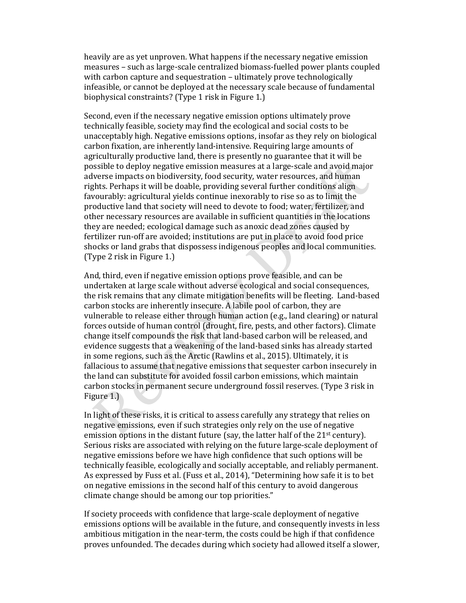heavily are as yet unproven. What happens if the necessary negative emission measures – such as large-scale centralized biomass-fuelled power plants coupled with carbon capture and sequestration – ultimately prove technologically infeasible, or cannot be deployed at the necessary scale because of fundamental biophysical constraints? (Type 1 risk in Figure 1.)

Second, even if the necessary negative emission options ultimately prove technically feasible, society may find the ecological and social costs to be unacceptably high. Negative emissions options, insofar as they rely on biological carbon fixation, are inherently land-intensive. Requiring large amounts of agriculturally productive land, there is presently no guarantee that it will be possible to deploy negative emission measures at a large-scale and avoid major adverse impacts on biodiversity, food security, water resources, and human rights. Perhaps it will be doable, providing several further conditions align favourably: agricultural yields continue inexorably to rise so as to limit the productive land that society will need to devote to food; water, fertilizer, and other necessary resources are available in sufficient quantities in the locations they are needed; ecological damage such as anoxic dead zones caused by fertilizer run-off are avoided; institutions are put in place to avoid food price shocks or land grabs that dispossess indigenous peoples and local communities. (Type 2 risk in Figure 1.)

And, third, even if negative emission options prove feasible, and can be undertaken at large scale without adverse ecological and social consequences, the risk remains that any climate mitigation benefits will be fleeting. Land-based carbon stocks are inherently insecure. A labile pool of carbon, they are vulnerable to release either through human action (e.g., land clearing) or natural forces outside of human control (drought, fire, pests, and other factors). Climate change itself compounds the risk that land-based carbon will be released, and evidence suggests that a weakening of the land-based sinks has already started in some regions, such as the Arctic (Rawlins et al., 2015). Ultimately, it is fallacious to assume that negative emissions that sequester carbon insecurely in the land can substitute for avoided fossil carbon emissions, which maintain carbon stocks in permanent secure underground fossil reserves. (Type 3 risk in Figure 1.)

In light of these risks, it is critical to assess carefully any strategy that relies on negative emissions, even if such strategies only rely on the use of negative emission options in the distant future (say, the latter half of the 21<sup>st</sup> century). Serious risks are associated with relying on the future large-scale deployment of negative emissions before we have high confidence that such options will be technically feasible, ecologically and socially acceptable, and reliably permanent. As expressed by Fuss et al. (Fuss et al., 2014), "Determining how safe it is to bet on negative emissions in the second half of this century to avoid dangerous climate change should be among our top priorities."

If society proceeds with confidence that large-scale deployment of negative emissions options will be available in the future, and consequently invests in less ambitious mitigation in the near-term, the costs could be high if that confidence proves unfounded. The decades during which society had allowed itself a slower,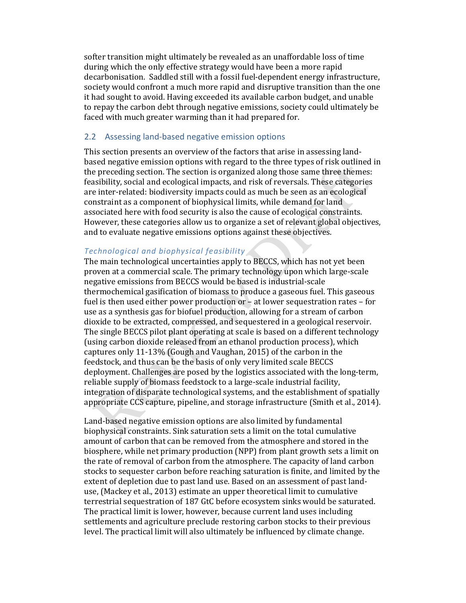softer transition might ultimately be revealed as an unaffordable loss of time during which the only effective strategy would have been a more rapid decarbonisation. Saddled still with a fossil fuel-dependent energy infrastructure, society would confront a much more rapid and disruptive transition than the one it had sought to avoid. Having exceeded its available carbon budget, and unable to repay the carbon debt through negative emissions, society could ultimately be faced with much greater warming than it had prepared for.

### 2.2 Assessing land-based negative emission options

This section presents an overview of the factors that arise in assessing landbased negative emission options with regard to the three types of risk outlined in the preceding section. The section is organized along those same three themes: feasibility, social and ecological impacts, and risk of reversals. These categories are inter-related: biodiversity impacts could as much be seen as an ecological constraint as a component of biophysical limits, while demand for land associated here with food security is also the cause of ecological constraints. However, these categories allow us to organize a set of relevant global objectives, and to evaluate negative emissions options against these objectives.

### *Technological and biophysical feasibility*

The main technological uncertainties apply to BECCS, which has not yet been proven at a commercial scale. The primary technology upon which large-scale negative emissions from BECCS would be based is industrial-scale thermochemical gasification of biomass to produce a gaseous fuel. This gaseous fuel is then used either power production or – at lower sequestration rates – for use as a synthesis gas for biofuel production, allowing for a stream of carbon dioxide to be extracted, compressed, and sequestered in a geological reservoir. The single BECCS pilot plant operating at scale is based on a different technology (using carbon dioxide released from an ethanol production process), which captures only 11-13% (Gough and Vaughan, 2015) of the carbon in the feedstock, and thus can be the basis of only very limited scale BECCS deployment. Challenges are posed by the logistics associated with the long-term, reliable supply of biomass feedstock to a large-scale industrial facility, integration of disparate technological systems, and the establishment of spatially appropriate CCS capture, pipeline, and storage infrastructure (Smith et al., 2014).

Land-based negative emission options are also limited by fundamental biophysical constraints. Sink saturation sets a limit on the total cumulative amount of carbon that can be removed from the atmosphere and stored in the biosphere, while net primary production (NPP) from plant growth sets a limit on the rate of removal of carbon from the atmosphere. The capacity of land carbon stocks to sequester carbon before reaching saturation is finite, and limited by the extent of depletion due to past land use. Based on an assessment of past landuse, (Mackey et al., 2013) estimate an upper theoretical limit to cumulative terrestrial sequestration of 187 GtC before ecosystem sinks would be saturated. The practical limit is lower, however, because current land uses including settlements and agriculture preclude restoring carbon stocks to their previous level. The practical limit will also ultimately be influenced by climate change.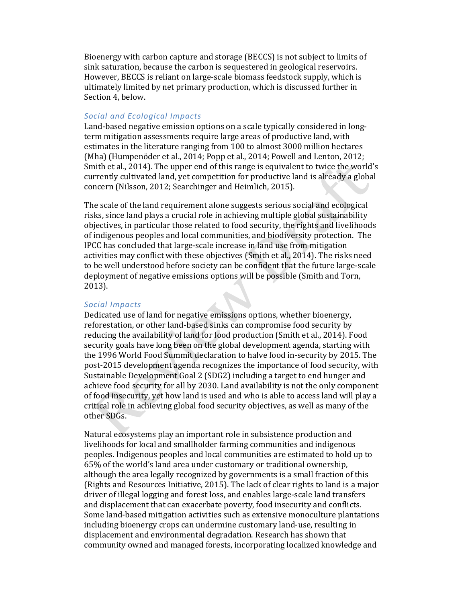Bioenergy with carbon capture and storage (BECCS) is not subject to limits of sink saturation, because the carbon is sequestered in geological reservoirs. However, BECCS is reliant on large-scale biomass feedstock supply, which is ultimately limited by net primary production, which is discussed further in Section 4, below.

### *Social and Ecological Impacts*

Land-based negative emission options on a scale typically considered in longterm mitigation assessments require large areas of productive land, with estimates in the literature ranging from 100 to almost 3000 million hectares (Mha) (Humpenöder et al., 2014; Popp et al., 2014; Powell and Lenton, 2012; Smith et al., 2014). The upper end of this range is equivalent to twice the world's currently cultivated land, yet competition for productive land is already a global concern (Nilsson, 2012; Searchinger and Heimlich, 2015).

The scale of the land requirement alone suggests serious social and ecological risks, since land plays a crucial role in achieving multiple global sustainability objectives, in particular those related to food security, the rights and livelihoods of indigenous peoples and local communities, and biodiversity protection. The IPCC has concluded that large-scale increase in land use from mitigation activities may conflict with these objectives (Smith et al., 2014). The risks need to be well understood before society can be confident that the future large-scale deployment of negative emissions options will be possible (Smith and Torn, 2013).

#### *Social Impacts*

Dedicated use of land for negative emissions options, whether bioenergy, reforestation, or other land-based sinks can compromise food security by reducing the availability of land for food production (Smith et al., 2014). Food security goals have long been on the global development agenda, starting with the 1996 World Food Summit declaration to halve food in-security by 2015. The post-2015 development agenda recognizes the importance of food security, with Sustainable Development Goal 2 (SDG2) including a target to end hunger and achieve food security for all by 2030. Land availability is not the only component of food insecurity, yet how land is used and who is able to access land will play a critical role in achieving global food security objectives, as well as many of the other SDGs.

Natural ecosystems play an important role in subsistence production and livelihoods for local and smallholder farming communities and indigenous peoples. Indigenous peoples and local communities are estimated to hold up to 65% of the world's land area under customary or traditional ownership, although the area legally recognized by governments is a small fraction of this (Rights and Resources Initiative, 2015). The lack of clear rights to land is a major driver of illegal logging and forest loss, and enables large-scale land transfers and displacement that can exacerbate poverty, food insecurity and conflicts. Some land-based mitigation activities such as extensive monoculture plantations including bioenergy crops can undermine customary land-use, resulting in displacement and environmental degradation. Research has shown that community owned and managed forests, incorporating localized knowledge and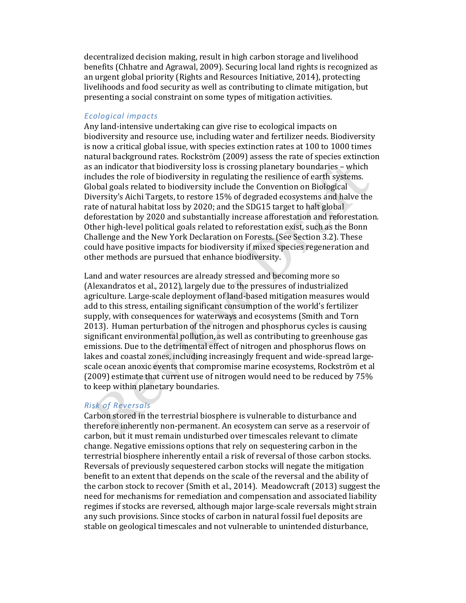decentralized decision making, result in high carbon storage and livelihood benefits (Chhatre and Agrawal, 2009). Securing local land rights is recognized as an urgent global priority (Rights and Resources Initiative, 2014), protecting livelihoods and food security as well as contributing to climate mitigation, but presenting a social constraint on some types of mitigation activities.

#### *Ecological impacts*

Any land-intensive undertaking can give rise to ecological impacts on biodiversity and resource use, including water and fertilizer needs. Biodiversity is now a critical global issue, with species extinction rates at 100 to 1000 times natural background rates. Rockström (2009) assess the rate of species extinction as an indicator that biodiversity loss is crossing planetary boundaries – which includes the role of biodiversity in regulating the resilience of earth systems. Global goals related to biodiversity include the Convention on Biological Diversity's Aichi Targets, to restore 15% of degraded ecosystems and halve the rate of natural habitat loss by 2020; and the SDG15 target to halt global deforestation by 2020 and substantially increase afforestation and reforestation. Other high-level political goals related to reforestation exist, such as the Bonn Challenge and the New York Declaration on Forests. (See Section 3.2). These could have positive impacts for biodiversity if mixed species regeneration and other methods are pursued that enhance biodiversity.

Land and water resources are already stressed and becoming more so (Alexandratos et al., 2012), largely due to the pressures of industrialized agriculture. Large-scale deployment of land-based mitigation measures would add to this stress, entailing significant consumption of the world's fertilizer supply, with consequences for waterways and ecosystems (Smith and Torn 2013). Human perturbation of the nitrogen and phosphorus cycles is causing significant environmental pollution, as well as contributing to greenhouse gas emissions. Due to the detrimental effect of nitrogen and phosphorus flows on lakes and coastal zones, including increasingly frequent and wide-spread largescale ocean anoxic events that compromise marine ecosystems, Rockström et al (2009) estimate that current use of nitrogen would need to be reduced by 75% to keep within planetary boundaries.

#### *Risk of Reversals*

Carbon stored in the terrestrial biosphere is vulnerable to disturbance and therefore inherently non-permanent. An ecosystem can serve as a reservoir of carbon, but it must remain undisturbed over timescales relevant to climate change. Negative emissions options that rely on sequestering carbon in the terrestrial biosphere inherently entail a risk of reversal of those carbon stocks. Reversals of previously sequestered carbon stocks will negate the mitigation benefit to an extent that depends on the scale of the reversal and the ability of the carbon stock to recover (Smith et al., 2014). Meadowcraft (2013) suggest the need for mechanisms for remediation and compensation and associated liability regimes if stocks are reversed, although major large-scale reversals might strain any such provisions. Since stocks of carbon in natural fossil fuel deposits are stable on geological timescales and not vulnerable to unintended disturbance,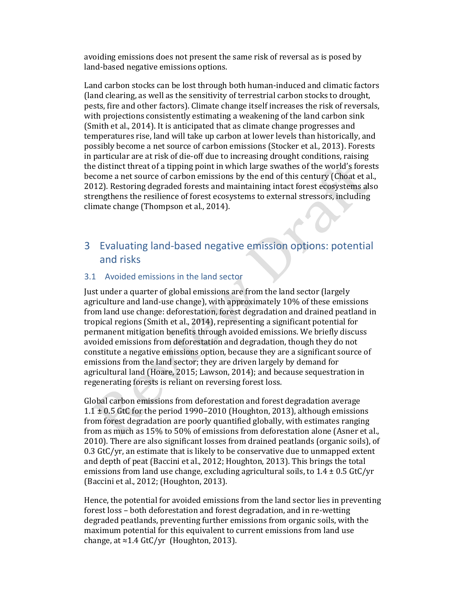avoiding emissions does not present the same risk of reversal as is posed by land-based negative emissions options.

Land carbon stocks can be lost through both human-induced and climatic factors (land clearing, as well as the sensitivity of terrestrial carbon stocks to drought, pests, fire and other factors). Climate change itself increases the risk of reversals, with projections consistently estimating a weakening of the land carbon sink (Smith et al., 2014). It is anticipated that as climate change progresses and temperatures rise, land will take up carbon at lower levels than historically, and possibly become a net source of carbon emissions (Stocker et al., 2013). Forests in particular are at risk of die-off due to increasing drought conditions, raising the distinct threat of a tipping point in which large swathes of the world's forests become a net source of carbon emissions by the end of this century (Choat et al., 2012). Restoring degraded forests and maintaining intact forest ecosystems also strengthens the resilience of forest ecosystems to external stressors, including climate change (Thompson et al., 2014).

## 3 Evaluating land-based negative emission options: potential and risks

### 3.1 Avoided emissions in the land sector

Just under a quarter of global emissions are from the land sector (largely agriculture and land-use change), with approximately 10% of these emissions from land use change: deforestation, forest degradation and drained peatland in tropical regions (Smith et al., 2014), representing a significant potential for permanent mitigation benefits through avoided emissions. We briefly discuss avoided emissions from deforestation and degradation, though they do not constitute a negative emissions option, because they are a significant source of emissions from the land sector; they are driven largely by demand for agricultural land (Hoare, 2015; Lawson, 2014); and because sequestration in regenerating forests is reliant on reversing forest loss.

Global carbon emissions from deforestation and forest degradation average 1.1  $\pm$  0.5 GtC for the period 1990–2010 (Houghton, 2013), although emissions from forest degradation are poorly quantified globally, with estimates ranging from as much as 15% to 50% of emissions from deforestation alone (Asner et al., 2010). There are also significant losses from drained peatlands (organic soils), of 0.3 GtC/yr, an estimate that is likely to be conservative due to unmapped extent and depth of peat (Baccini et al., 2012; Houghton, 2013). This brings the total emissions from land use change, excluding agricultural soils, to  $1.4 \pm 0.5$  GtC/yr (Baccini et al., 2012; (Houghton, 2013).

Hence, the potential for avoided emissions from the land sector lies in preventing forest loss – both deforestation and forest degradation, and in re-wetting degraded peatlands, preventing further emissions from organic soils, with the maximum potential for this equivalent to current emissions from land use change, at  $\approx$  1.4 GtC/yr (Houghton, 2013).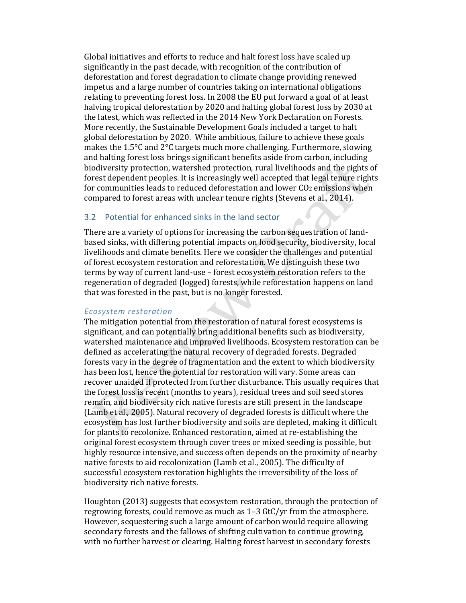Global initiatives and efforts to reduce and halt forest loss have scaled up significantly in the past decade, with recognition of the contribution of deforestation and forest degradation to climate change providing renewed impetus and a large number of countries taking on international obligations relating to preventing forest loss. In 2008 the EU put forward a goal of at least halving tropical deforestation by 2020 and halting global forest loss by 2030 at the latest, which was reflected in the 2014 New York Declaration on Forests. More recently, the Sustainable Development Goals included a target to halt global deforestation by 2020. While ambitious, failure to achieve these goals makes the 1.5°C and 2°C targets much more challenging. Furthermore, slowing and halting forest loss brings significant benefits aside from carbon, including biodiversity protection, watershed protection, rural livelihoods and the rights of forest dependent peoples. It is increasingly well accepted that legal tenure rights for communities leads to reduced deforestation and lower CO2 emissions when compared to forest areas with unclear tenure rights (Stevens et al., 2014).

#### 3.2 Potential for enhanced sinks in the land sector

There are a variety of options for increasing the carbon sequestration of landbased sinks, with differing potential impacts on food security, biodiversity, local livelihoods and climate benefits. Here we consider the challenges and potential of forest ecosystem restoration and reforestation. We distinguish these two terms by way of current land-use – forest ecosystem restoration refers to the regeneration of degraded (logged) forests, while reforestation happens on land that was forested in the past, but is no longer forested.

#### *Ecosystem restoration*

The mitigation potential from the restoration of natural forest ecosystems is significant, and can potentially bring additional benefits such as biodiversity, watershed maintenance and improved livelihoods. Ecosystem restoration can be defined as accelerating the natural recovery of degraded forests. Degraded forests vary in the degree of fragmentation and the extent to which biodiversity has been lost, hence the potential for restoration will vary. Some areas can recover unaided if protected from further disturbance. This usually requires that the forest loss is recent (months to years), residual trees and soil seed stores remain, and biodiversity rich native forests are still present in the landscape (Lamb et al., 2005). Natural recovery of degraded forests is difficult where the ecosystem has lost further biodiversity and soils are depleted, making it difficult for plants to recolonize. Enhanced restoration, aimed at re-establishing the original forest ecosystem through cover trees or mixed seeding is possible, but highly resource intensive, and success often depends on the proximity of nearby native forests to aid recolonization (Lamb et al., 2005). The difficulty of successful ecosystem restoration highlights the irreversibility of the loss of biodiversity rich native forests.

Houghton (2013) suggests that ecosystem restoration, through the protection of regrowing forests, could remove as much as 1–3 GtC/yr from the atmosphere. However, sequestering such a large amount of carbon would require allowing secondary forests and the fallows of shifting cultivation to continue growing, with no further harvest or clearing. Halting forest harvest in secondary forests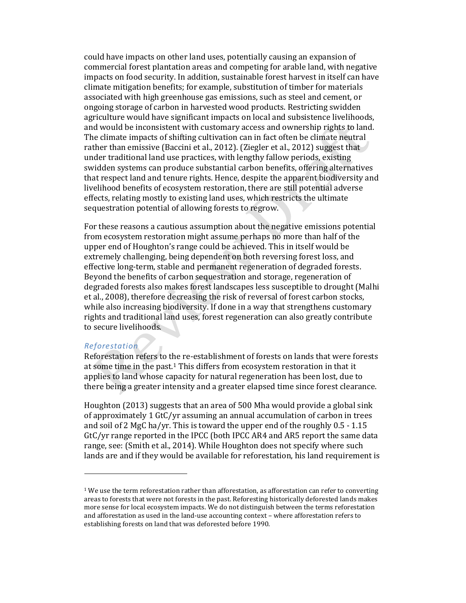could have impacts on other land uses, potentially causing an expansion of commercial forest plantation areas and competing for arable land, with negative impacts on food security. In addition, sustainable forest harvest in itself can have climate mitigation benefits; for example, substitution of timber for materials associated with high greenhouse gas emissions, such as steel and cement, or ongoing storage of carbon in harvested wood products. Restricting swidden agriculture would have significant impacts on local and subsistence livelihoods, and would be inconsistent with customary access and ownership rights to land. The climate impacts of shifting cultivation can in fact often be climate neutral rather than emissive (Baccini et al., 2012). (Ziegler et al., 2012) suggest that under traditional land use practices, with lengthy fallow periods, existing swidden systems can produce substantial carbon benefits, offering alternatives that respect land and tenure rights. Hence, despite the apparent biodiversity and livelihood benefits of ecosystem restoration, there are still potential adverse effects, relating mostly to existing land uses, which restricts the ultimate sequestration potential of allowing forests to regrow.

For these reasons a cautious assumption about the negative emissions potential from ecosystem restoration might assume perhaps no more than half of the upper end of Houghton's range could be achieved. This in itself would be extremely challenging, being dependent on both reversing forest loss, and effective long-term, stable and permanent regeneration of degraded forests. Beyond the benefits of carbon sequestration and storage, regeneration of degraded forests also makes forest landscapes less susceptible to drought (Malhi et al., 2008), therefore decreasing the risk of reversal of forest carbon stocks, while also increasing biodiversity. If done in a way that strengthens customary rights and traditional land uses, forest regeneration can also greatly contribute to secure livelihoods.

#### *Reforestation*

l

Reforestation refers to the re-establishment of forests on lands that were forests at some time in the past.1 This differs from ecosystem restoration in that it applies to land whose capacity for natural regeneration has been lost, due to there being a greater intensity and a greater elapsed time since forest clearance.

Houghton (2013) suggests that an area of 500 Mha would provide a global sink of approximately 1 GtC/yr assuming an annual accumulation of carbon in trees and soil of 2 MgC ha/yr. This is toward the upper end of the roughly 0.5 - 1.15 GtC/yr range reported in the IPCC (both IPCC AR4 and AR5 report the same data range, see: (Smith et al., 2014). While Houghton does not specify where such lands are and if they would be available for reforestation, his land requirement is

 $1$  We use the term reforestation rather than afforestation, as afforestation can refer to converting areas to forests that were not forests in the past. Reforesting historically deforested lands makes more sense for local ecosystem impacts. We do not distinguish between the terms reforestation and afforestation as used in the land-use accounting context – where afforestation refers to establishing forests on land that was deforested before 1990.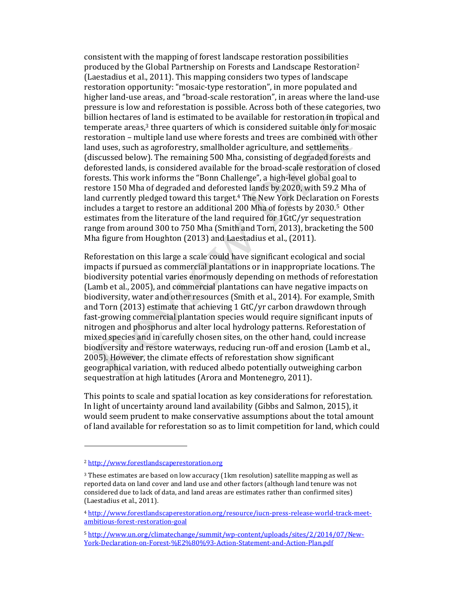consistent with the mapping of forest landscape restoration possibilities produced by the Global Partnership on Forests and Landscape Restoration2 (Laestadius et al., 2011). This mapping considers two types of landscape restoration opportunity: "mosaic-type restoration", in more populated and higher land-use areas, and "broad-scale restoration", in areas where the land-use pressure is low and reforestation is possible. Across both of these categories, two billion hectares of land is estimated to be available for restoration in tropical and temperate areas, <sup>3</sup> three quarters of which is considered suitable only for mosaic restoration – multiple land use where forests and trees are combined with other land uses, such as agroforestry, smallholder agriculture, and settlements (discussed below). The remaining 500 Mha, consisting of degraded forests and deforested lands, is considered available for the broad-scale restoration of closed forests. This work informs the "Bonn Challenge", a high-level global goal to restore 150 Mha of degraded and deforested lands by 2020, with 59.2 Mha of land currently pledged toward this target. <sup>4</sup> The New York Declaration on Forests includes a target to restore an additional 200 Mha of forests by 2030.5 Other estimates from the literature of the land required for 1GtC/yr sequestration range from around 300 to 750 Mha (Smith and Torn, 2013), bracketing the 500 Mha figure from Houghton (2013) and Laestadius et al., (2011).

Reforestation on this large a scale could have significant ecological and social impacts if pursued as commercial plantations or in inappropriate locations. The biodiversity potential varies enormously depending on methods of reforestation (Lamb et al., 2005), and commercial plantations can have negative impacts on biodiversity, water and other resources (Smith et al., 2014). For example, Smith and Torn (2013) estimate that achieving 1 GtC/yr carbon drawdown through fast-growing commercial plantation species would require significant inputs of nitrogen and phosphorus and alter local hydrology patterns. Reforestation of mixed species and in carefully chosen sites, on the other hand, could increase biodiversity and restore waterways, reducing run-off and erosion (Lamb et al., 2005). However, the climate effects of reforestation show significant geographical variation, with reduced albedo potentially outweighing carbon sequestration at high latitudes (Arora and Montenegro, 2011).

This points to scale and spatial location as key considerations for reforestation. In light of uncertainty around land availability (Gibbs and Salmon, 2015), it would seem prudent to make conservative assumptions about the total amount of land available for reforestation so as to limit competition for land, which could

l

<sup>2</sup> http://www.forestlandscaperestoration.org

<sup>&</sup>lt;sup>3</sup> These estimates are based on low accuracy (1km resolution) satellite mapping as well as reported data on land cover and land use and other factors (although land tenure was not considered due to lack of data, and land areas are estimates rather than confirmed sites) (Laestadius et al., 2011).

<sup>4</sup> http://www.forestlandscaperestoration.org/resource/iucn-press-release-world-track-meetambitious-forest-restoration-goal

<sup>5</sup> http://www.un.org/climatechange/summit/wp-content/uploads/sites/2/2014/07/New-York-Declaration-on-Forest-%E2%80%93-Action-Statement-and-Action-Plan.pdf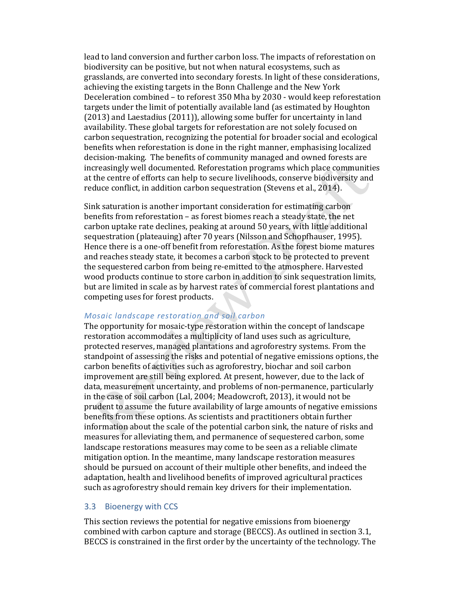lead to land conversion and further carbon loss. The impacts of reforestation on biodiversity can be positive, but not when natural ecosystems, such as grasslands, are converted into secondary forests. In light of these considerations, achieving the existing targets in the Bonn Challenge and the New York Deceleration combined – to reforest 350 Mha by 2030 - would keep reforestation targets under the limit of potentially available land (as estimated by Houghton (2013) and Laestadius (2011)), allowing some buffer for uncertainty in land availability. These global targets for reforestation are not solely focused on carbon sequestration, recognizing the potential for broader social and ecological benefits when reforestation is done in the right manner, emphasising localized decision-making. The benefits of community managed and owned forests are increasingly well documented. Reforestation programs which place communities at the centre of efforts can help to secure livelihoods, conserve biodiversity and reduce conflict, in addition carbon sequestration (Stevens et al., 2014).

Sink saturation is another important consideration for estimating carbon benefits from reforestation – as forest biomes reach a steady state, the net carbon uptake rate declines, peaking at around 50 years, with little additional sequestration (plateauing) after 70 years (Nilsson and Schopfhauser, 1995). Hence there is a one-off benefit from reforestation. As the forest biome matures and reaches steady state, it becomes a carbon stock to be protected to prevent the sequestered carbon from being re-emitted to the atmosphere. Harvested wood products continue to store carbon in addition to sink sequestration limits, but are limited in scale as by harvest rates of commercial forest plantations and competing uses for forest products.

#### *Mosaic landscape restoration and soil carbon*

The opportunity for mosaic-type restoration within the concept of landscape restoration accommodates a multiplicity of land uses such as agriculture, protected reserves, managed plantations and agroforestry systems. From the standpoint of assessing the risks and potential of negative emissions options, the carbon benefits of activities such as agroforestry, biochar and soil carbon improvement are still being explored. At present, however, due to the lack of data, measurement uncertainty, and problems of non-permanence, particularly in the case of soil carbon (Lal, 2004; Meadowcroft, 2013), it would not be prudent to assume the future availability of large amounts of negative emissions benefits from these options. As scientists and practitioners obtain further information about the scale of the potential carbon sink, the nature of risks and measures for alleviating them, and permanence of sequestered carbon, some landscape restorations measures may come to be seen as a reliable climate mitigation option. In the meantime, many landscape restoration measures should be pursued on account of their multiple other benefits, and indeed the adaptation, health and livelihood benefits of improved agricultural practices such as agroforestry should remain key drivers for their implementation.

### 3.3 Bioenergy with CCS

This section reviews the potential for negative emissions from bioenergy combined with carbon capture and storage (BECCS). As outlined in section 3.1, BECCS is constrained in the first order by the uncertainty of the technology. The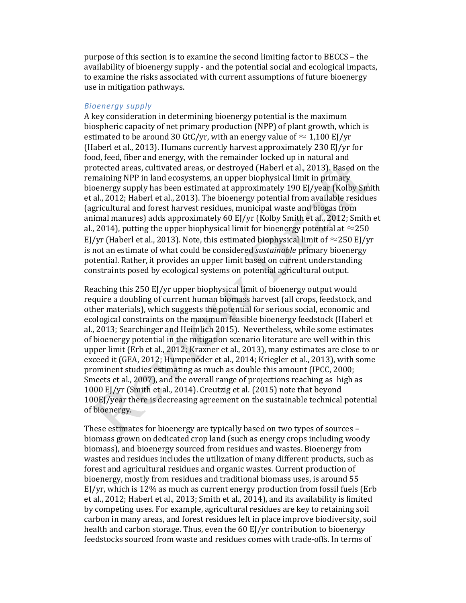purpose of this section is to examine the second limiting factor to BECCS – the availability of bioenergy supply - and the potential social and ecological impacts, to examine the risks associated with current assumptions of future bioenergy use in mitigation pathways.

#### *Bioenergy supply*

A key consideration in determining bioenergy potential is the maximum biospheric capacity of net primary production (NPP) of plant growth, which is estimated to be around 30 GtC/yr, with an energy value of  $\approx 1.100 \text{ EV}$ yr (Haberl et al., 2013). Humans currently harvest approximately 230 EJ/yr for food, feed, fiber and energy, with the remainder locked up in natural and protected areas, cultivated areas, or destroyed (Haberl et al., 2013). Based on the remaining NPP in land ecosystems, an upper biophysical limit in primary bioenergy supply has been estimated at approximately 190 EJ/year (Kolby Smith et al., 2012; Haberl et al., 2013). The bioenergy potential from available residues (agricultural and forest harvest residues, municipal waste and biogas from animal manures) adds approximately 60 EJ/yr (Kolby Smith et al., 2012; Smith et al., 2014), putting the upper biophysical limit for bioenergy potential at  $\approx$ 250 EJ/yr (Haberl et al., 2013). Note, this estimated biophysical limit of  $\approx$ 250 EJ/yr is not an estimate of what could be considered *sustainable* primary bioenergy potential. Rather, it provides an upper limit based on current understanding constraints posed by ecological systems on potential agricultural output.

Reaching this 250 EJ/yr upper biophysical limit of bioenergy output would require a doubling of current human biomass harvest (all crops, feedstock, and other materials), which suggests the potential for serious social, economic and ecological constraints on the maximum feasible bioenergy feedstock (Haberl et al., 2013; Searchinger and Heimlich 2015). Nevertheless, while some estimates of bioenergy potential in the mitigation scenario literature are well within this upper limit (Erb et al., 2012; Kraxner et al., 2013), many estimates are close to or exceed it (GEA, 2012; Humpenöder et al., 2014; Kriegler et al., 2013), with some prominent studies estimating as much as double this amount (IPCC, 2000; Smeets et al., 2007), and the overall range of projections reaching as high as 1000 EJ/yr (Smith et al., 2014). Creutzig et al. (2015) note that beyond 100EJ/year there is decreasing agreement on the sustainable technical potential of bioenergy.

These estimates for bioenergy are typically based on two types of sources – biomass grown on dedicated crop land (such as energy crops including woody biomass), and bioenergy sourced from residues and wastes. Bioenergy from wastes and residues includes the utilization of many different products, such as forest and agricultural residues and organic wastes. Current production of bioenergy, mostly from residues and traditional biomass uses, is around 55 EJ/yr, which is 12% as much as current energy production from fossil fuels (Erb et al., 2012; Haberl et al., 2013; Smith et al., 2014), and its availability is limited by competing uses. For example, agricultural residues are key to retaining soil carbon in many areas, and forest residues left in place improve biodiversity, soil health and carbon storage. Thus, even the 60 EJ/yr contribution to bioenergy feedstocks sourced from waste and residues comes with trade-offs. In terms of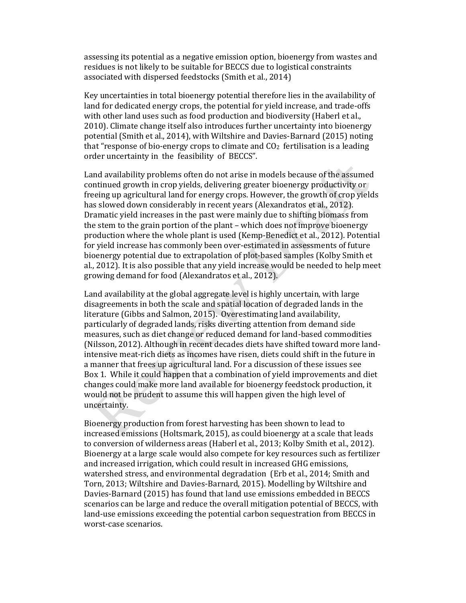assessing its potential as a negative emission option, bioenergy from wastes and residues is not likely to be suitable for BECCS due to logistical constraints associated with dispersed feedstocks (Smith et al., 2014)

Key uncertainties in total bioenergy potential therefore lies in the availability of land for dedicated energy crops, the potential for yield increase, and trade-offs with other land uses such as food production and biodiversity (Haberl et al., 2010). Climate change itself also introduces further uncertainty into bioenergy potential (Smith et al., 2014), with Wiltshire and Davies-Barnard (2015) noting that "response of bio-energy crops to climate and  $CO<sub>2</sub>$  fertilisation is a leading order uncertainty in the feasibility of BECCS".

Land availability problems often do not arise in models because of the assumed continued growth in crop yields, delivering greater bioenergy productivity or freeing up agricultural land for energy crops. However, the growth of crop yields has slowed down considerably in recent years (Alexandratos et al., 2012). Dramatic yield increases in the past were mainly due to shifting biomass from the stem to the grain portion of the plant – which does not improve bioenergy production where the whole plant is used (Kemp-Benedict et al., 2012). Potential for yield increase has commonly been over-estimated in assessments of future bioenergy potential due to extrapolation of plot-based samples (Kolby Smith et al., 2012). It is also possible that any yield increase would be needed to help meet growing demand for food (Alexandratos et al., 2012).

Land availability at the global aggregate level is highly uncertain, with large disagreements in both the scale and spatial location of degraded lands in the literature (Gibbs and Salmon, 2015). Overestimating land availability, particularly of degraded lands, risks diverting attention from demand side measures, such as diet change or reduced demand for land-based commodities (Nilsson, 2012). Although in recent decades diets have shifted toward more landintensive meat-rich diets as incomes have risen, diets could shift in the future in a manner that frees up agricultural land. For a discussion of these issues see Box 1. While it could happen that a combination of yield improvements and diet changes could make more land available for bioenergy feedstock production, it would not be prudent to assume this will happen given the high level of uncertainty.

Bioenergy production from forest harvesting has been shown to lead to increased emissions (Holtsmark, 2015), as could bioenergy at a scale that leads to conversion of wilderness areas (Haberl et al., 2013; Kolby Smith et al., 2012). Bioenergy at a large scale would also compete for key resources such as fertilizer and increased irrigation, which could result in increased GHG emissions, watershed stress, and environmental degradation (Erb et al., 2014; Smith and Torn, 2013; Wiltshire and Davies-Barnard, 2015). Modelling by Wiltshire and Davies-Barnard (2015) has found that land use emissions embedded in BECCS scenarios can be large and reduce the overall mitigation potential of BECCS, with land-use emissions exceeding the potential carbon sequestration from BECCS in worst-case scenarios.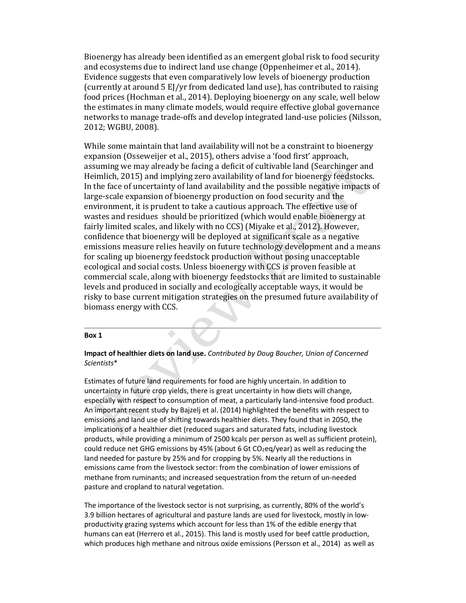Bioenergy has already been identified as an emergent global risk to food security and ecosystems due to indirect land use change (Oppenheimer et al., 2014). Evidence suggests that even comparatively low levels of bioenergy production (currently at around 5 EJ/yr from dedicated land use), has contributed to raising food prices (Hochman et al., 2014). Deploying bioenergy on any scale, well below the estimates in many climate models, would require effective global governance networks to manage trade-offs and develop integrated land-use policies (Nilsson, 2012; WGBU, 2008).

While some maintain that land availability will not be a constraint to bioenergy expansion (Osseweijer et al., 2015), others advise a 'food first' approach, assuming we may already be facing a deficit of cultivable land (Searchinger and Heimlich, 2015) and implying zero availability of land for bioenergy feedstocks. In the face of uncertainty of land availability and the possible negative impacts of large-scale expansion of bioenergy production on food security and the environment, it is prudent to take a cautious approach. The effective use of wastes and residues should be prioritized (which would enable bioenergy at fairly limited scales, and likely with no CCS) (Miyake et al., 2012). However, confidence that bioenergy will be deployed at significant scale as a negative emissions measure relies heavily on future technology development and a means for scaling up bioenergy feedstock production without posing unacceptable ecological and social costs. Unless bioenergy with CCS is proven feasible at commercial scale, along with bioenergy feedstocks that are limited to sustainable levels and produced in socially and ecologically acceptable ways, it would be risky to base current mitigation strategies on the presumed future availability of biomass energy with CCS.

#### Box 1

#### Impact of healthier diets on land use. *Contributed by Doug Boucher, Union of Concerned Scientists*\*

۵

Estimates of future land requirements for food are highly uncertain. In addition to uncertainty in future crop yields, there is great uncertainty in how diets will change, especially with respect to consumption of meat, a particularly land-intensive food product. An important recent study by Bajzelj et al. (2014) highlighted the benefits with respect to emissions and land use of shifting towards healthier diets. They found that in 2050, the implications of a healthier diet (reduced sugars and saturated fats, including livestock products, while providing a minimum of 2500 kcals per person as well as sufficient protein), could reduce net GHG emissions by 45% (about 6 Gt  $CO<sub>2</sub>$ eq/year) as well as reducing the land needed for pasture by 25% and for cropping by 5%. Nearly all the reductions in emissions came from the livestock sector: from the combination of lower emissions of methane from ruminants; and increased sequestration from the return of un-needed pasture and cropland to natural vegetation.

The importance of the livestock sector is not surprising, as currently, 80% of the world's 3.9 billion hectares of agricultural and pasture lands are used for livestock, mostly in lowproductivity grazing systems which account for less than 1% of the edible energy that humans can eat (Herrero et al., 2015). This land is mostly used for beef cattle production, which produces high methane and nitrous oxide emissions (Persson et al., 2014) as well as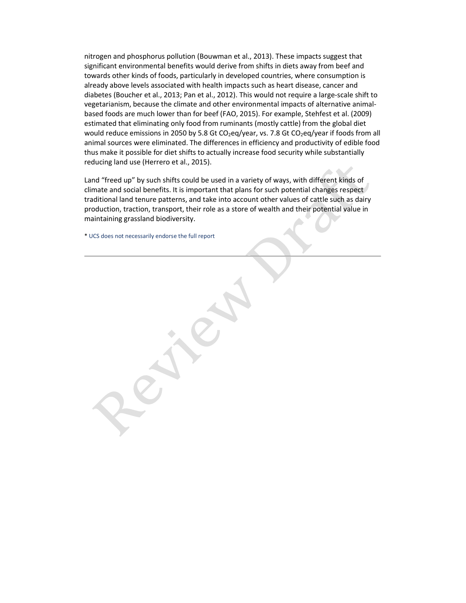nitrogen and phosphorus pollution (Bouwman et al., 2013). These impacts suggest that significant environmental benefits would derive from shifts in diets away from beef and towards other kinds of foods, particularly in developed countries, where consumption is already above levels associated with health impacts such as heart disease, cancer and diabetes (Boucher et al., 2013; Pan et al., 2012). This would not require a large-scale shift to vegetarianism, because the climate and other environmental impacts of alternative animalbased foods are much lower than for beef (FAO, 2015). For example, Stehfest et al. (2009) estimated that eliminating only food from ruminants (mostly cattle) from the global diet would reduce emissions in 2050 by 5.8 Gt CO<sub>2</sub>eq/year, vs. 7.8 Gt CO<sub>2</sub>eq/year if foods from all animal sources were eliminated. The differences in efficiency and productivity of edible food thus make it possible for diet shifts to actually increase food security while substantially reducing land use (Herrero et al., 2015).

Land "freed up" by such shifts could be used in a variety of ways, with different kinds of climate and social benefits. It is important that plans for such potential changes respect traditional land tenure patterns, and take into account other values of cattle such as dairy production, traction, transport, their role as a store of wealth and their potential value in maintaining grassland biodiversity.

\* UCS does not necessarily endorse the full report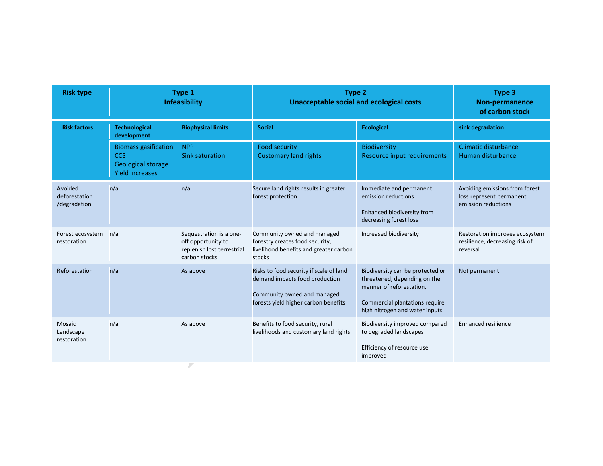| <b>Risk factors</b><br><b>Technological</b><br><b>Biophysical limits</b><br><b>Social</b><br><b>Ecological</b><br>sink degradation<br>development<br><b>Biomass gasification</b><br>Climatic disturbance<br><b>NPP</b><br><b>Food security</b><br>Biodiversity<br><b>CCS</b><br><b>Sink saturation</b><br><b>Customary land rights</b><br>Resource input requirements<br>Human disturbance<br>Geological storage<br><b>Yield increases</b><br>n/a<br>Avoided<br>n/a<br>Secure land rights results in greater<br>Immediate and permanent<br>emission reductions<br>forest protection<br>deforestation<br>emission reductions<br>/degradation<br>Enhanced biodiversity from<br>decreasing forest loss<br>Community owned and managed<br>Increased biodiversity<br>Forest ecosystem<br>n/a<br>Sequestration is a one-<br>off opportunity to<br>forestry creates food security,<br>restoration<br>livelihood benefits and greater carbon<br>replenish lost terrestrial<br>reversal<br>carbon stocks<br>stocks | <b>Risk type</b> | Type 1<br>Infeasibility | <b>Type 2</b><br><b>Unacceptable social and ecological costs</b> | Type 3<br>Non-permanence<br>of carbon stock                      |
|-----------------------------------------------------------------------------------------------------------------------------------------------------------------------------------------------------------------------------------------------------------------------------------------------------------------------------------------------------------------------------------------------------------------------------------------------------------------------------------------------------------------------------------------------------------------------------------------------------------------------------------------------------------------------------------------------------------------------------------------------------------------------------------------------------------------------------------------------------------------------------------------------------------------------------------------------------------------------------------------------------------|------------------|-------------------------|------------------------------------------------------------------|------------------------------------------------------------------|
|                                                                                                                                                                                                                                                                                                                                                                                                                                                                                                                                                                                                                                                                                                                                                                                                                                                                                                                                                                                                           |                  |                         |                                                                  |                                                                  |
|                                                                                                                                                                                                                                                                                                                                                                                                                                                                                                                                                                                                                                                                                                                                                                                                                                                                                                                                                                                                           |                  |                         |                                                                  |                                                                  |
|                                                                                                                                                                                                                                                                                                                                                                                                                                                                                                                                                                                                                                                                                                                                                                                                                                                                                                                                                                                                           |                  |                         |                                                                  | Avoiding emissions from forest<br>loss represent permanent       |
|                                                                                                                                                                                                                                                                                                                                                                                                                                                                                                                                                                                                                                                                                                                                                                                                                                                                                                                                                                                                           |                  |                         |                                                                  | Restoration improves ecosystem<br>resilience, decreasing risk of |
| n/a<br>Reforestation<br>Risks to food security if scale of land<br>Biodiversity can be protected or<br>As above<br>Not permanent<br>demand impacts food production<br>threatened, depending on the<br>manner of reforestation.<br>Community owned and managed<br>forests yield higher carbon benefits<br>Commercial plantations require<br>high nitrogen and water inputs                                                                                                                                                                                                                                                                                                                                                                                                                                                                                                                                                                                                                                 |                  |                         |                                                                  |                                                                  |
| n/a<br>Benefits to food security, rural<br>Mosaic<br>As above<br>Biodiversity improved compared<br>Enhanced resilience<br>livelihoods and customary land rights<br>to degraded landscapes<br>Landscape<br>restoration<br>Efficiency of resource use<br>improved                                                                                                                                                                                                                                                                                                                                                                                                                                                                                                                                                                                                                                                                                                                                           |                  |                         |                                                                  |                                                                  |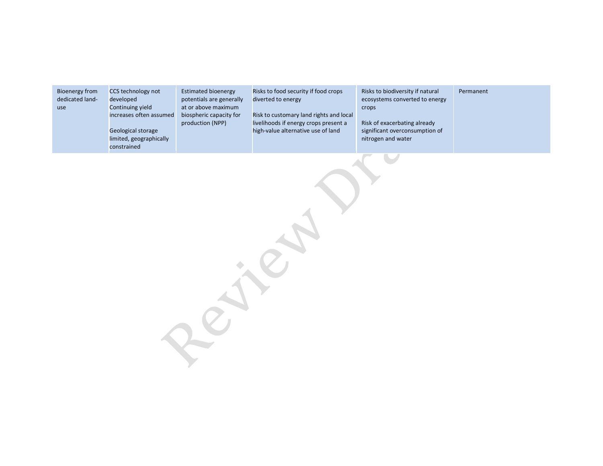| <b>Bioenergy from</b><br>dedicated land-<br>use | CCS technology not<br>developed<br>Continuing yield<br>increases often assumed<br>Geological storage<br>limited, geographically<br>constrained | <b>Estimated bioenergy</b><br>potentials are generally<br>at or above maximum<br>biospheric capacity for<br>production (NPP) | Risks to food security if food crops<br>diverted to energy<br>Risk to customary land rights and local<br>livelihoods if energy crops present a<br>high-value alternative use of land | Risks to biodiversity if natural<br>ecosystems converted to energy<br>crops<br>Risk of exacerbating already<br>significant overconsumption of<br>nitrogen and water | Permanent |
|-------------------------------------------------|------------------------------------------------------------------------------------------------------------------------------------------------|------------------------------------------------------------------------------------------------------------------------------|--------------------------------------------------------------------------------------------------------------------------------------------------------------------------------------|---------------------------------------------------------------------------------------------------------------------------------------------------------------------|-----------|
|                                                 |                                                                                                                                                |                                                                                                                              |                                                                                                                                                                                      |                                                                                                                                                                     |           |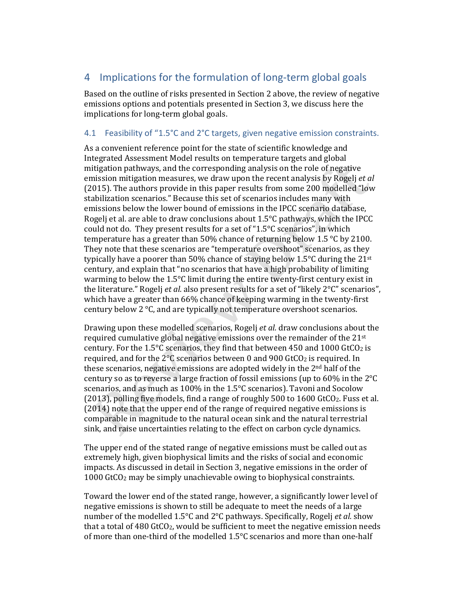## 4 Implications for the formulation of long-term global goals

Based on the outline of risks presented in Section 2 above, the review of negative emissions options and potentials presented in Section 3, we discuss here the implications for long-term global goals.

### 4.1 Feasibility of "1.5°C and 2°C targets, given negative emission constraints.

As a convenient reference point for the state of scientific knowledge and Integrated Assessment Model results on temperature targets and global mitigation pathways, and the corresponding analysis on the role of negative emission mitigation measures, we draw upon the recent analysis by Rogelj *et al* (2015). The authors provide in this paper results from some 200 modelled "low stabilization scenarios." Because this set of scenarios includes many with emissions below the lower bound of emissions in the IPCC scenario database, Rogelj et al. are able to draw conclusions about 1.5°C pathways, which the IPCC could not do. They present results for a set of "1.5°C scenarios", in which temperature has a greater than 50% chance of returning below 1.5 °C by 2100. They note that these scenarios are "temperature overshoot" scenarios, as they typically have a poorer than 50% chance of staying below 1.5°C during the 21st century, and explain that "no scenarios that have a high probability of limiting warming to below the 1.5°C limit during the entire twenty-first century exist in the literature." Rogelj *et al.* also present results for a set of "likely 2°C" scenarios", which have a greater than 66% chance of keeping warming in the twenty-first century below 2 °C, and are typically not temperature overshoot scenarios.

Drawing upon these modelled scenarios, Rogelj *et al.* draw conclusions about the required cumulative global negative emissions over the remainder of the 21st century. For the 1.5 $\degree$ C scenarios, they find that between 450 and 1000 GtCO<sub>2</sub> is required, and for the  $2^{\circ}$ C scenarios between 0 and 900 GtCO<sub>2</sub> is required. In these scenarios, negative emissions are adopted widely in the 2nd half of the century so as to reverse a large fraction of fossil emissions (up to 60% in the 2°C scenarios, and as much as 100% in the 1.5°C scenarios). Tavoni and Socolow (2013), polling five models, find a range of roughly 500 to 1600 GtCO2. Fuss et al. (2014) note that the upper end of the range of required negative emissions is comparable in magnitude to the natural ocean sink and the natural terrestrial sink, and raise uncertainties relating to the effect on carbon cycle dynamics.

The upper end of the stated range of negative emissions must be called out as extremely high, given biophysical limits and the risks of social and economic impacts. As discussed in detail in Section 3, negative emissions in the order of 1000 GtCO2 may be simply unachievable owing to biophysical constraints.

Toward the lower end of the stated range, however, a significantly lower level of negative emissions is shown to still be adequate to meet the needs of a large number of the modelled 1.5°C and 2°C pathways. Specifically, Rogelj *et al.* show that a total of 480 GtCO2, would be sufficient to meet the negative emission needs of more than one-third of the modelled 1.5°C scenarios and more than one-half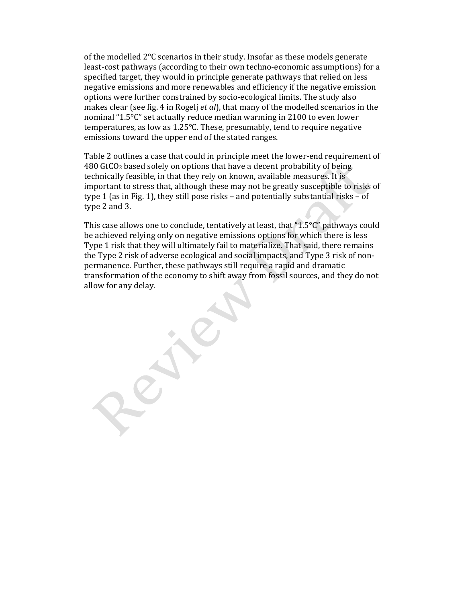of the modelled 2°C scenarios in their study. Insofar as these models generate least-cost pathways (according to their own techno-economic assumptions) for a specified target, they would in principle generate pathways that relied on less negative emissions and more renewables and efficiency if the negative emission options were further constrained by socio-ecological limits. The study also makes clear (see fig. 4 in Rogelj *et al*), that many of the modelled scenarios in the nominal "1.5°C" set actually reduce median warming in 2100 to even lower temperatures, as low as 1.25°C. These, presumably, tend to require negative emissions toward the upper end of the stated ranges.

Table 2 outlines a case that could in principle meet the lower-end requirement of 480 GtCO2 based solely on options that have a decent probability of being technically feasible, in that they rely on known, available measures. It is important to stress that, although these may not be greatly susceptible to risks of type 1 (as in Fig. 1), they still pose risks – and potentially substantial risks – of type 2 and 3.

This case allows one to conclude, tentatively at least, that "1.5°C" pathways could be achieved relying only on negative emissions options for which there is less Type 1 risk that they will ultimately fail to materialize. That said, there remains the Type 2 risk of adverse ecological and social impacts, and Type 3 risk of nonpermanence. Further, these pathways still require a rapid and dramatic transformation of the economy to shift away from fossil sources, and they do not allow for any delay.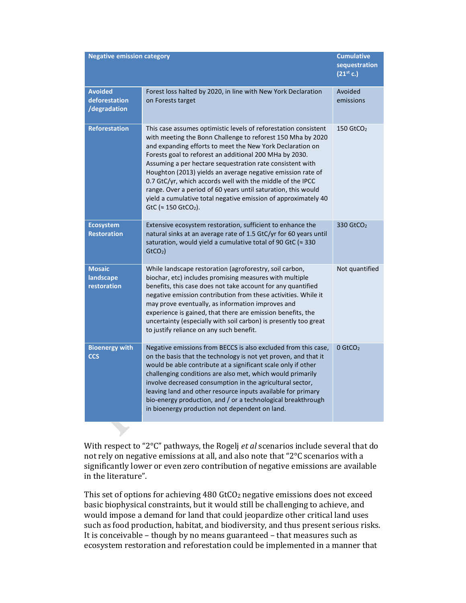| <b>Negative emission category</b>               | <b>Cumulative</b><br>sequestration<br>$(21^{st} c.)$                                                                                                                                                                                                                                                                                                                                                                                                                                                                                                                                                                            |                         |
|-------------------------------------------------|---------------------------------------------------------------------------------------------------------------------------------------------------------------------------------------------------------------------------------------------------------------------------------------------------------------------------------------------------------------------------------------------------------------------------------------------------------------------------------------------------------------------------------------------------------------------------------------------------------------------------------|-------------------------|
| <b>Avoided</b><br>deforestation<br>/degradation | Forest loss halted by 2020, in line with New York Declaration<br>on Forests target                                                                                                                                                                                                                                                                                                                                                                                                                                                                                                                                              | Avoided<br>emissions    |
| <b>Reforestation</b>                            | This case assumes optimistic levels of reforestation consistent<br>with meeting the Bonn Challenge to reforest 150 Mha by 2020<br>and expanding efforts to meet the New York Declaration on<br>Forests goal to reforest an additional 200 MHa by 2030.<br>Assuming a per hectare sequestration rate consistent with<br>Houghton (2013) yields an average negative emission rate of<br>0.7 GtC/yr, which accords well with the middle of the IPCC<br>range. Over a period of 60 years until saturation, this would<br>yield a cumulative total negative emission of approximately 40<br>GtC ( $\approx$ 150 GtCO <sub>2</sub> ). | $150$ GtCO <sub>2</sub> |
| <b>Ecosystem</b><br><b>Restoration</b>          | Extensive ecosystem restoration, sufficient to enhance the<br>natural sinks at an average rate of 1.5 GtC/yr for 60 years until<br>saturation, would yield a cumulative total of 90 GtC (≈ 330<br>GtCO <sub>2</sub>                                                                                                                                                                                                                                                                                                                                                                                                             | 330 GtCO <sub>2</sub>   |
| <b>Mosaic</b><br>landscape<br>restoration       | While landscape restoration (agroforestry, soil carbon,<br>biochar, etc) includes promising measures with multiple<br>benefits, this case does not take account for any quantified<br>negative emission contribution from these activities. While it<br>may prove eventually, as information improves and<br>experience is gained, that there are emission benefits, the<br>uncertainty (especially with soil carbon) is presently too great<br>to justify reliance on any such benefit.                                                                                                                                        | Not quantified          |
| <b>Bioenergy with</b><br><b>CCS</b>             | Negative emissions from BECCS is also excluded from this case,<br>on the basis that the technology is not yet proven, and that it<br>would be able contribute at a significant scale only if other<br>challenging conditions are also met, which would primarily<br>involve decreased consumption in the agricultural sector,<br>leaving land and other resource inputs available for primary<br>bio-energy production, and / or a technological breakthrough<br>in bioenergy production not dependent on land.                                                                                                                 | $0$ GtCO <sub>2</sub>   |

With respect to "2°C" pathways, the Rogelj *et al* scenarios include several that do not rely on negative emissions at all, and also note that "2°C scenarios with a significantly lower or even zero contribution of negative emissions are available in the literature".

This set of options for achieving 480 GtCO2 negative emissions does not exceed basic biophysical constraints, but it would still be challenging to achieve, and would impose a demand for land that could jeopardize other critical land uses such as food production, habitat, and biodiversity, and thus present serious risks. It is conceivable – though by no means guaranteed – that measures such as ecosystem restoration and reforestation could be implemented in a manner that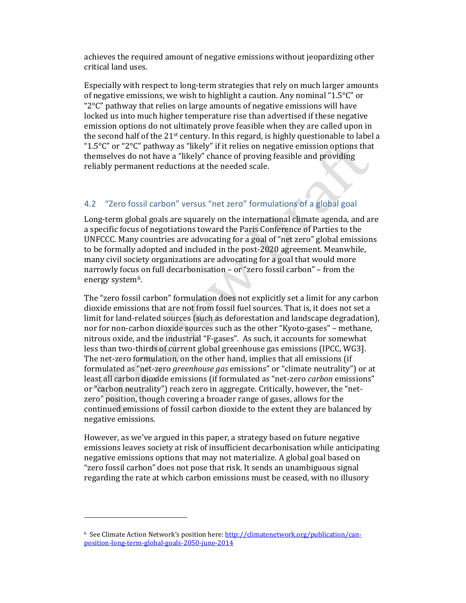achieves the required amount of negative emissions without jeopardizing other critical land uses.

Especially with respect to long-term strategies that rely on much larger amounts of negative emissions, we wish to highlight a caution. Any nominal "1.5°C" or " $2^{\circ}$ C" pathway that relies on large amounts of negative emissions will have locked us into much higher temperature rise than advertised if these negative emission options do not ultimately prove feasible when they are called upon in the second half of the  $21$ <sup>st</sup> century. In this regard, is highly questionable to label a " $1.5^{\circ}$ C" or "2 $^{\circ}$ C" pathway as "likely" if it relies on negative emission options that themselves do not have a "likely" chance of proving feasible and providing reliably permanent reductions at the needed scale.

## 4.2 "Zero fossil carbon" versus "net zero" formulations of a global goal

Long-term global goals are squarely on the international climate agenda, and are a specific focus of negotiations toward the Paris Conference of Parties to the UNFCCC. Many countries are advocating for a goal of "net zero" global emissions to be formally adopted and included in the post-2020 agreement. Meanwhile, many civil society organizations are advocating for a goal that would more narrowly focus on full decarbonisation – or "zero fossil carbon" – from the energy system6.

The "zero fossil carbon" formulation does not explicitly set a limit for any carbon dioxide emissions that are not from fossil fuel sources. That is, it does not set a limit for land-related sources (such as deforestation and landscape degradation), nor for non-carbon dioxide sources such as the other "Kyoto-gases" – methane, nitrous oxide, and the industrial "F-gases". As such, it accounts for somewhat less than two-thirds of current global greenhouse gas emissions (IPCC, WG3]. The net-zero formulation, on the other hand, implies that all emissions (if formulated as "net-zero *greenhouse gas* emissions" or "climate neutrality") or at least all carbon dioxide emissions (if formulated as "net-zero *carbon* emissions" or "carbon neutrality") reach zero in aggregate. Critically, however, the "netzero" position, though covering a broader range of gases, allows for the continued emissions of fossil carbon dioxide to the extent they are balanced by negative emissions.

However, as we've argued in this paper, a strategy based on future negative emissions leaves society at risk of insufficient decarbonisation while anticipating negative emissions options that may not materialize. A global goal based on "zero fossil carbon" does not pose that risk. It sends an unambiguous signal regarding the rate at which carbon emissions must be ceased, with no illusory

l

<sup>6</sup> See Climate Action Network's position here: http://climatenetwork.org/publication/canposition-long-term-global-goals-2050-june-2014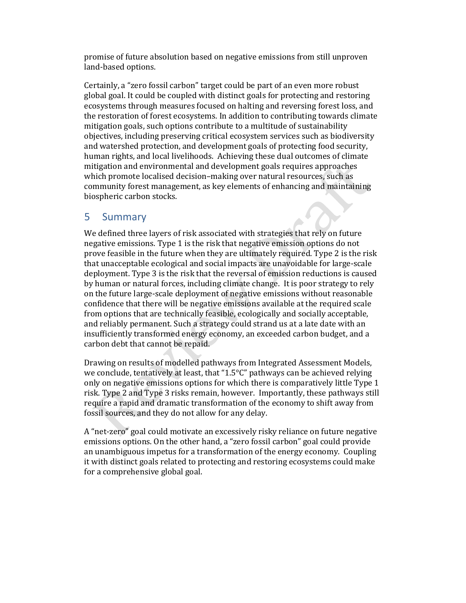promise of future absolution based on negative emissions from still unproven land-based options.

Certainly, a "zero fossil carbon" target could be part of an even more robust global goal. It could be coupled with distinct goals for protecting and restoring ecosystems through measures focused on halting and reversing forest loss, and the restoration of forest ecosystems. In addition to contributing towards climate mitigation goals, such options contribute to a multitude of sustainability objectives, including preserving critical ecosystem services such as biodiversity and watershed protection, and development goals of protecting food security, human rights, and local livelihoods. Achieving these dual outcomes of climate mitigation and environmental and development goals requires approaches which promote localised decision–making over natural resources, such as community forest management, as key elements of enhancing and maintaining biospheric carbon stocks.

## 5 Summary

We defined three layers of risk associated with strategies that rely on future negative emissions. Type 1 is the risk that negative emission options do not prove feasible in the future when they are ultimately required. Type 2 is the risk that unacceptable ecological and social impacts are unavoidable for large-scale deployment. Type 3 is the risk that the reversal of emission reductions is caused by human or natural forces, including climate change. It is poor strategy to rely on the future large-scale deployment of negative emissions without reasonable confidence that there will be negative emissions available at the required scale from options that are technically feasible, ecologically and socially acceptable, and reliably permanent. Such a strategy could strand us at a late date with an insufficiently transformed energy economy, an exceeded carbon budget, and a carbon debt that cannot be repaid.

Drawing on results of modelled pathways from Integrated Assessment Models, we conclude, tentatively at least, that "1.5°C" pathways can be achieved relying only on negative emissions options for which there is comparatively little Type 1 risk. Type 2 and Type 3 risks remain, however. Importantly, these pathways still require a rapid and dramatic transformation of the economy to shift away from fossil sources, and they do not allow for any delay.

A "net-zero" goal could motivate an excessively risky reliance on future negative emissions options. On the other hand, a "zero fossil carbon" goal could provide an unambiguous impetus for a transformation of the energy economy. Coupling it with distinct goals related to protecting and restoring ecosystems could make for a comprehensive global goal.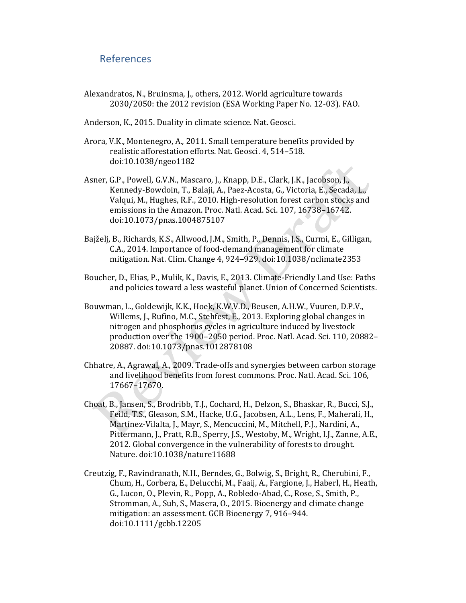## References

- Alexandratos, N., Bruinsma, J., others, 2012. World agriculture towards 2030/2050: the 2012 revision (ESA Working Paper No. 12-03). FAO.
- Anderson, K., 2015. Duality in climate science. Nat. Geosci.
- Arora, V.K., Montenegro, A., 2011. Small temperature benefits provided by realistic afforestation efforts. Nat. Geosci. 4, 514–518. doi:10.1038/ngeo1182
- Asner, G.P., Powell, G.V.N., Mascaro, J., Knapp, D.E., Clark, J.K., Jacobson, J., Kennedy-Bowdoin, T., Balaji, A., Paez-Acosta, G., Victoria, E., Secada, L., Valqui, M., Hughes, R.F., 2010. High-resolution forest carbon stocks and emissions in the Amazon. Proc. Natl. Acad. Sci. 107, 16738–16742. doi:10.1073/pnas.1004875107
- Bajželj, B., Richards, K.S., Allwood, J.M., Smith, P., Dennis, J.S., Curmi, E., Gilligan, C.A., 2014. Importance of food-demand management for climate mitigation. Nat. Clim. Change 4, 924–929. doi:10.1038/nclimate2353
- Boucher, D., Elias, P., Mulik, K., Davis, E., 2013. Climate-Friendly Land Use: Paths and policies toward a less wasteful planet. Union of Concerned Scientists.
- Bouwman, L., Goldewijk, K.K., Hoek, K.W.V.D., Beusen, A.H.W., Vuuren, D.P.V., Willems, J., Rufino, M.C., Stehfest, E., 2013. Exploring global changes in nitrogen and phosphorus cycles in agriculture induced by livestock production over the 1900–2050 period. Proc. Natl. Acad. Sci. 110, 20882– 20887. doi:10.1073/pnas.1012878108
- Chhatre, A., Agrawal, A., 2009. Trade-offs and synergies between carbon storage and livelihood benefits from forest commons. Proc. Natl. Acad. Sci. 106, 17667–17670.
- Choat, B., Jansen, S., Brodribb, T.J., Cochard, H., Delzon, S., Bhaskar, R., Bucci, S.J., Feild, T.S., Gleason, S.M., Hacke, U.G., Jacobsen, A.L., Lens, F., Maherali, H., Martínez-Vilalta, J., Mayr, S., Mencuccini, M., Mitchell, P.J., Nardini, A., Pittermann, J., Pratt, R.B., Sperry, J.S., Westoby, M., Wright, I.J., Zanne, A.E., 2012. Global convergence in the vulnerability of forests to drought. Nature. doi:10.1038/nature11688
- Creutzig, F., Ravindranath, N.H., Berndes, G., Bolwig, S., Bright, R., Cherubini, F., Chum, H., Corbera, E., Delucchi, M., Faaij, A., Fargione, J., Haberl, H., Heath, G., Lucon, O., Plevin, R., Popp, A., Robledo-Abad, C., Rose, S., Smith, P., Stromman, A., Suh, S., Masera, O., 2015. Bioenergy and climate change mitigation: an assessment. GCB Bioenergy 7, 916–944. doi:10.1111/gcbb.12205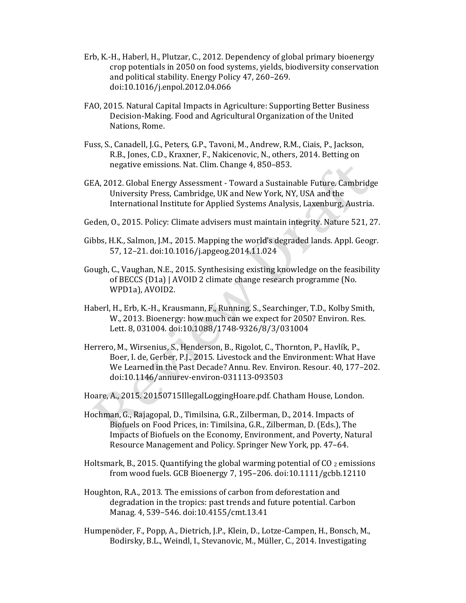- Erb, K.-H., Haberl, H., Plutzar, C., 2012. Dependency of global primary bioenergy crop potentials in 2050 on food systems, yields, biodiversity conservation and political stability. Energy Policy 47, 260–269. doi:10.1016/j.enpol.2012.04.066
- FAO, 2015. Natural Capital Impacts in Agriculture: Supporting Better Business Decision-Making. Food and Agricultural Organization of the United Nations, Rome.
- Fuss, S., Canadell, J.G., Peters, G.P., Tavoni, M., Andrew, R.M., Ciais, P., Jackson, R.B., Jones, C.D., Kraxner, F., Nakicenovic, N., others, 2014. Betting on negative emissions. Nat. Clim. Change 4, 850–853.
- GEA, 2012. Global Energy Assessment Toward a Sustainable Future. Cambridge University Press, Cambridge, UK and New York, NY, USA and the International Institute for Applied Systems Analysis, Laxenburg, Austria.
- Geden, O., 2015. Policy: Climate advisers must maintain integrity. Nature 521, 27.
- Gibbs, H.K., Salmon, J.M., 2015. Mapping the world's degraded lands. Appl. Geogr. 57, 12–21. doi:10.1016/j.apgeog.2014.11.024
- Gough, C., Vaughan, N.E., 2015. Synthesising existing knowledge on the feasibility of BECCS (D1a) | AVOID 2 climate change research programme (No. WPD1a), AVOID2.
- Haberl, H., Erb, K.-H., Krausmann, F., Running, S., Searchinger, T.D., Kolby Smith, W., 2013. Bioenergy: how much can we expect for 2050? Environ. Res. Lett. 8, 031004. doi:10.1088/1748-9326/8/3/031004
- Herrero, M., Wirsenius, S., Henderson, B., Rigolot, C., Thornton, P., Havlík, P., Boer, I. de, Gerber, P.J., 2015. Livestock and the Environment: What Have We Learned in the Past Decade? Annu. Rev. Environ. Resour. 40, 177–202. doi:10.1146/annurev-environ-031113-093503

Hoare, A., 2015. 20150715IllegalLoggingHoare.pdf. Chatham House, London.

- Hochman, G., Rajagopal, D., Timilsina, G.R., Zilberman, D., 2014. Impacts of Biofuels on Food Prices, in: Timilsina, G.R., Zilberman, D. (Eds.), The Impacts of Biofuels on the Economy, Environment, and Poverty, Natural Resource Management and Policy. Springer New York, pp. 47–64.
- Holtsmark, B., 2015. Quantifying the global warming potential of CO 2 emissions from wood fuels. GCB Bioenergy 7, 195–206. doi:10.1111/gcbb.12110
- Houghton, R.A., 2013. The emissions of carbon from deforestation and degradation in the tropics: past trends and future potential. Carbon Manag. 4, 539–546. doi:10.4155/cmt.13.41
- Humpenöder, F., Popp, A., Dietrich, J.P., Klein, D., Lotze-Campen, H., Bonsch, M., Bodirsky, B.L., Weindl, I., Stevanovic, M., Müller, C., 2014. Investigating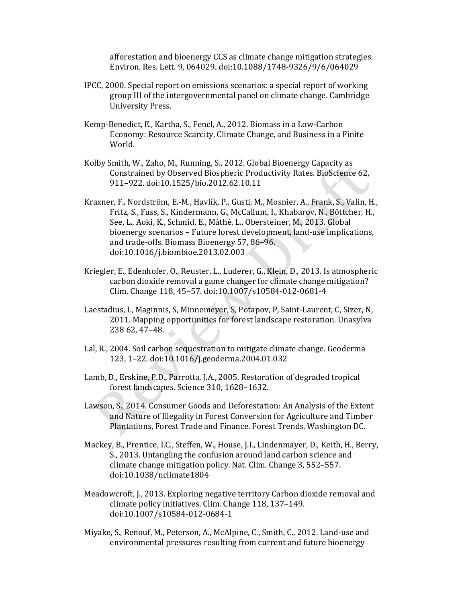afforestation and bioenergy CCS as climate change mitigation strategies. Environ. Res. Lett. 9, 064029. doi:10.1088/1748-9326/9/6/064029

- IPCC, 2000. Special report on emissions scenarios: a special report of working group III of the intergovernmental panel on climate change. Cambridge University Press.
- Kemp-Benedict, E., Kartha, S., Fencl, A., 2012. Biomass in a Low-Carbon Economy: Resource Scarcity, Climate Change, and Business in a Finite World.
- Kolby Smith, W., Zaho, M., Running, S., 2012. Global Bioenergy Capacity as Constrained by Observed Biospheric Productivity Rates. BioScience 62, 911–922. doi:10.1525/bio.2012.62.10.11
- Kraxner, F., Nordström, E.-M., Havlík, P., Gusti, M., Mosnier, A., Frank, S., Valin, H., Fritz, S., Fuss, S., Kindermann, G., McCallum, I., Khabarov, N., Böttcher, H., See, L., Aoki, K., Schmid, E., Máthé, L., Obersteiner, M., 2013. Global bioenergy scenarios – Future forest development, land-use implications, and trade-offs. Biomass Bioenergy 57, 86–96. doi:10.1016/j.biombioe.2013.02.003
- Kriegler, E., Edenhofer, O., Reuster, L., Luderer, G., Klein, D., 2013. Is atmospheric carbon dioxide removal a game changer for climate change mitigation? Clim. Change 118, 45–57. doi:10.1007/s10584-012-0681-4
- Laestadius, L, Maginnis, S, Minnemeyer, S, Potapov, P, Saint-Laurent, C, Sizer, N, 2011. Mapping opportunities for forest landscape restoration. Unasylva 238 62, 47–48.
- Lal, R., 2004. Soil carbon sequestration to mitigate climate change. Geoderma 123, 1–22. doi:10.1016/j.geoderma.2004.01.032
- Lamb, D., Erskine, P.D., Parrotta, J.A., 2005. Restoration of degraded tropical forest landscapes. Science 310, 1628–1632.
- Lawson, S., 2014. Consumer Goods and Deforestation: An Analysis of the Extent and Nature of Illegality in Forest Conversion for Agriculture and Timber Plantations, Forest Trade and Finance. Forest Trends, Washington DC.
- Mackey, B., Prentice, I.C., Steffen, W., House, J.I., Lindenmayer, D., Keith, H., Berry, S., 2013. Untangling the confusion around land carbon science and climate change mitigation policy. Nat. Clim. Change 3, 552–557. doi:10.1038/nclimate1804
- Meadowcroft, J., 2013. Exploring negative territory Carbon dioxide removal and climate policy initiatives. Clim. Change 118, 137–149. doi:10.1007/s10584-012-0684-1
- Miyake, S., Renouf, M., Peterson, A., McAlpine, C., Smith, C., 2012. Land-use and environmental pressures resulting from current and future bioenergy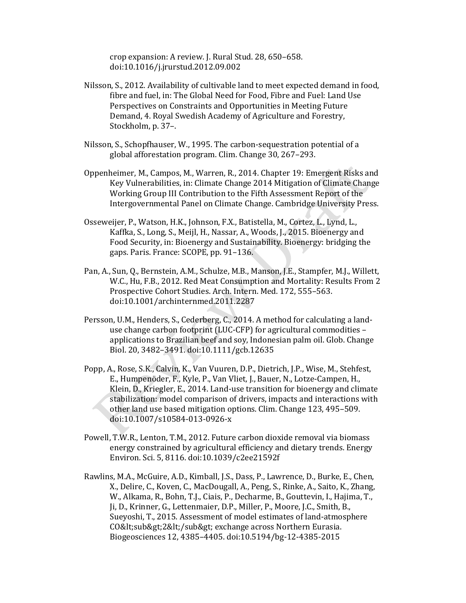crop expansion: A review. J. Rural Stud. 28, 650–658. doi:10.1016/j.jrurstud.2012.09.002

- Nilsson, S., 2012. Availability of cultivable land to meet expected demand in food, fibre and fuel, in: The Global Need for Food, Fibre and Fuel: Land Use Perspectives on Constraints and Opportunities in Meeting Future Demand, 4. Royal Swedish Academy of Agriculture and Forestry, Stockholm, p. 37–.
- Nilsson, S., Schopfhauser, W., 1995. The carbon-sequestration potential of a global afforestation program. Clim. Change 30, 267–293.
- Oppenheimer, M., Campos, M., Warren, R., 2014. Chapter 19: Emergent Risks and Key Vulnerabilities, in: Climate Change 2014 Mitigation of Climate Change Working Group III Contribution to the Fifth Assessment Report of the Intergovernmental Panel on Climate Change. Cambridge University Press.
- Osseweijer, P., Watson, H.K., Johnson, F.X., Batistella, M., Cortez, L., Lynd, L., Kaffka, S., Long, S., Meijl, H., Nassar, A., Woods, J., 2015. Bioenergy and Food Security, in: Bioenergy and Sustainability. Bioenergy: bridging the gaps. Paris. France: SCOPE, pp. 91–136.
- Pan, A., Sun, Q., Bernstein, A.M., Schulze, M.B., Manson, J.E., Stampfer, M.J., Willett, W.C., Hu, F.B., 2012. Red Meat Consumption and Mortality: Results From 2 Prospective Cohort Studies. Arch. Intern. Med. 172, 555–563. doi:10.1001/archinternmed.2011.2287
- Persson, U.M., Henders, S., Cederberg, C., 2014. A method for calculating a landuse change carbon footprint (LUC-CFP) for agricultural commodities – applications to Brazilian beef and soy, Indonesian palm oil. Glob. Change Biol. 20, 3482–3491. doi:10.1111/gcb.12635
- Popp, A., Rose, S.K., Calvin, K., Van Vuuren, D.P., Dietrich, J.P., Wise, M., Stehfest, E., Humpenöder, F., Kyle, P., Van Vliet, J., Bauer, N., Lotze-Campen, H., Klein, D., Kriegler, E., 2014. Land-use transition for bioenergy and climate stabilization: model comparison of drivers, impacts and interactions with other land use based mitigation options. Clim. Change 123, 495–509. doi:10.1007/s10584-013-0926-x
- Powell, T.W.R., Lenton, T.M., 2012. Future carbon dioxide removal via biomass energy constrained by agricultural efficiency and dietary trends. Energy Environ. Sci. 5, 8116. doi:10.1039/c2ee21592f
- Rawlins, M.A., McGuire, A.D., Kimball, J.S., Dass, P., Lawrence, D., Burke, E., Chen, X., Delire, C., Koven, C., MacDougall, A., Peng, S., Rinke, A., Saito, K., Zhang, W., Alkama, R., Bohn, T.J., Ciais, P., Decharme, B., Gouttevin, I., Hajima, T., Ji, D., Krinner, G., Lettenmaier, D.P., Miller, P., Moore, J.C., Smith, B., Sueyoshi, T., 2015. Assessment of model estimates of land-atmosphere CO< sub&gt; 2&lt; / sub&gt; exchange across Northern Eurasia. Biogeosciences 12, 4385–4405. doi:10.5194/bg-12-4385-2015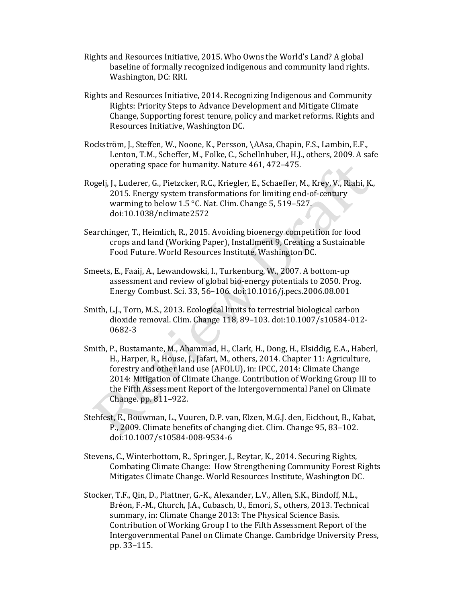- Rights and Resources Initiative, 2015. Who Owns the World's Land? A global baseline of formally recognized indigenous and community land rights. Washington, DC: RRI.
- Rights and Resources Initiative, 2014. Recognizing Indigenous and Community Rights: Priority Steps to Advance Development and Mitigate Climate Change, Supporting forest tenure, policy and market reforms. Rights and Resources Initiative, Washington DC.
- Rockström, J., Steffen, W., Noone, K., Persson, \AAsa, Chapin, F.S., Lambin, E.F., Lenton, T.M., Scheffer, M., Folke, C., Schellnhuber, H.J., others, 2009. A safe operating space for humanity. Nature 461, 472–475.
- Rogelj, J., Luderer, G., Pietzcker, R.C., Kriegler, E., Schaeffer, M., Krey, V., Riahi, K., 2015. Energy system transformations for limiting end-of-century warming to below 1.5 °C. Nat. Clim. Change 5, 519–527. doi:10.1038/nclimate2572
- Searchinger, T., Heimlich, R., 2015. Avoiding bioenergy competition for food crops and land (Working Paper), Installment 9, Creating a Sustainable Food Future. World Resources Institute, Washington DC.
- Smeets, E., Faaij, A., Lewandowski, I., Turkenburg, W., 2007. A bottom-up assessment and review of global bio-energy potentials to 2050. Prog. Energy Combust. Sci. 33, 56–106. doi:10.1016/j.pecs.2006.08.001
- Smith, L.J., Torn, M.S., 2013. Ecological limits to terrestrial biological carbon dioxide removal. Clim. Change 118, 89–103. doi:10.1007/s10584-012- 0682-3
- Smith, P., Bustamante, M., Ahammad, H., Clark, H., Dong, H., Elsiddig, E.A., Haberl, H., Harper, R., House, J., Jafari, M., others, 2014. Chapter 11: Agriculture, forestry and other land use (AFOLU), in: IPCC, 2014: Climate Change 2014: Mitigation of Climate Change. Contribution of Working Group III to the Fifth Assessment Report of the Intergovernmental Panel on Climate Change. pp. 811–922.
- Stehfest, E., Bouwman, L., Vuuren, D.P. van, Elzen, M.G.J. den, Eickhout, B., Kabat, P., 2009. Climate benefits of changing diet. Clim. Change 95, 83–102. doi:10.1007/s10584-008-9534-6
- Stevens, C., Winterbottom, R., Springer, J., Reytar, K., 2014. Securing Rights, Combating Climate Change: How Strengthening Community Forest Rights Mitigates Climate Change. World Resources Institute, Washington DC.
- Stocker, T.F., Qin, D., Plattner, G.-K., Alexander, L.V., Allen, S.K., Bindoff, N.L., Bréon, F.-M., Church, J.A., Cubasch, U., Emori, S., others, 2013. Technical summary, in: Climate Change 2013: The Physical Science Basis. Contribution of Working Group I to the Fifth Assessment Report of the Intergovernmental Panel on Climate Change. Cambridge University Press, pp. 33–115.